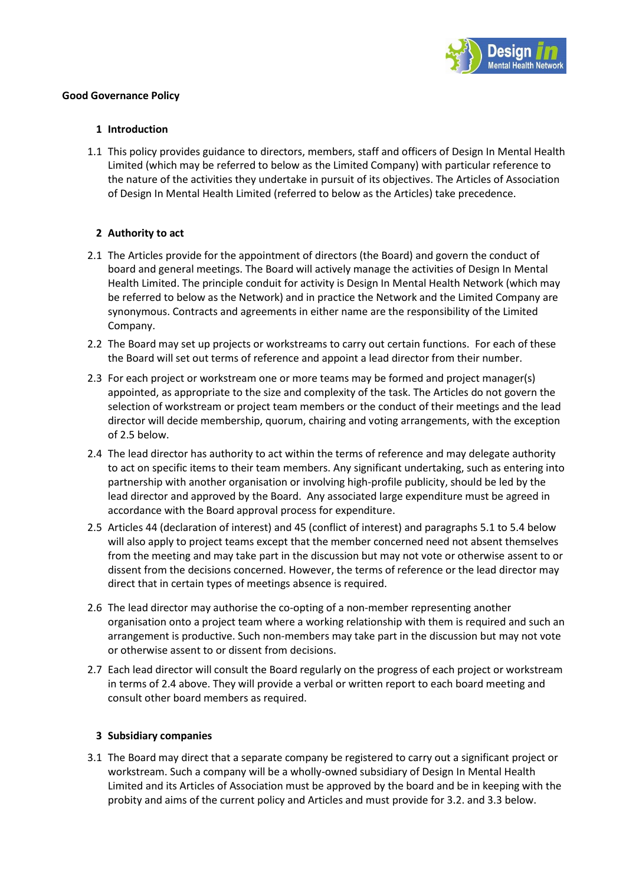

# **Good Governance Policy**

### **1 Introduction**

1.1 This policy provides guidance to directors, members, staff and officers of Design In Mental Health Limited (which may be referred to below as the Limited Company) with particular reference to the nature of the activities they undertake in pursuit of its objectives. The Articles of Association of Design In Mental Health Limited (referred to below as the Articles) take precedence.

# **2 Authority to act**

- 2.1 The Articles provide for the appointment of directors (the Board) and govern the conduct of board and general meetings. The Board will actively manage the activities of Design In Mental Health Limited. The principle conduit for activity is Design In Mental Health Network (which may be referred to below as the Network) and in practice the Network and the Limited Company are synonymous. Contracts and agreements in either name are the responsibility of the Limited Company.
- 2.2 The Board may set up projects or workstreams to carry out certain functions. For each of these the Board will set out terms of reference and appoint a lead director from their number.
- 2.3 For each project or workstream one or more teams may be formed and project manager(s) appointed, as appropriate to the size and complexity of the task. The Articles do not govern the selection of workstream or project team members or the conduct of their meetings and the lead director will decide membership, quorum, chairing and voting arrangements, with the exception of 2.5 below.
- 2.4 The lead director has authority to act within the terms of reference and may delegate authority to act on specific items to their team members. Any significant undertaking, such as entering into partnership with another organisation or involving high-profile publicity, should be led by the lead director and approved by the Board. Any associated large expenditure must be agreed in accordance with the Board approval process for expenditure.
- 2.5 Articles 44 (declaration of interest) and 45 (conflict of interest) and paragraphs 5.1 to 5.4 below will also apply to project teams except that the member concerned need not absent themselves from the meeting and may take part in the discussion but may not vote or otherwise assent to or dissent from the decisions concerned. However, the terms of reference or the lead director may direct that in certain types of meetings absence is required.
- 2.6 The lead director may authorise the co-opting of a non-member representing another organisation onto a project team where a working relationship with them is required and such an arrangement is productive. Such non-members may take part in the discussion but may not vote or otherwise assent to or dissent from decisions.
- 2.7 Each lead director will consult the Board regularly on the progress of each project or workstream in terms of 2.4 above. They will provide a verbal or written report to each board meeting and consult other board members as required.

#### **3 Subsidiary companies**

3.1 The Board may direct that a separate company be registered to carry out a significant project or workstream. Such a company will be a wholly-owned subsidiary of Design In Mental Health Limited and its Articles of Association must be approved by the board and be in keeping with the probity and aims of the current policy and Articles and must provide for 3.2. and 3.3 below.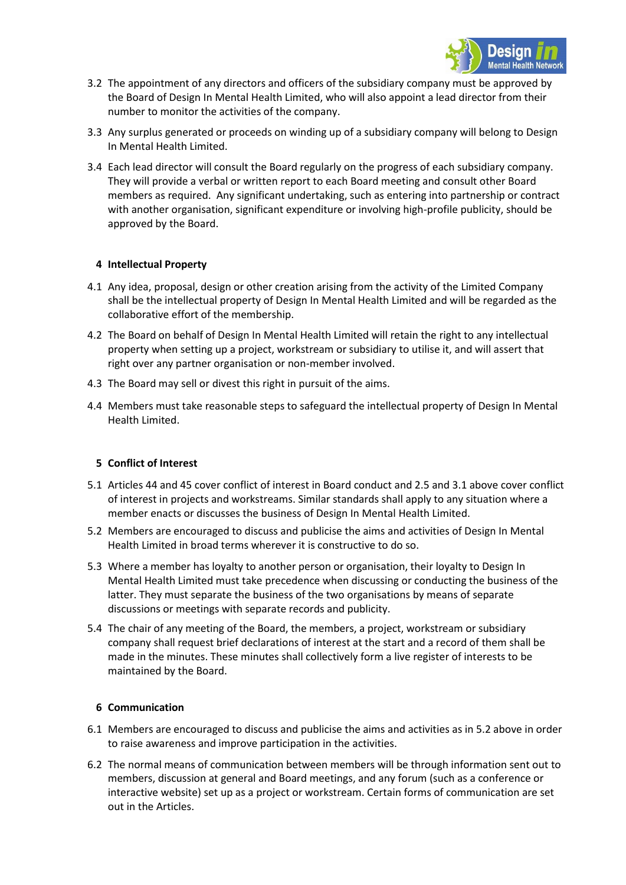

- 3.2 The appointment of any directors and officers of the subsidiary company must be approved by the Board of Design In Mental Health Limited, who will also appoint a lead director from their number to monitor the activities of the company.
- 3.3 Any surplus generated or proceeds on winding up of a subsidiary company will belong to Design In Mental Health Limited.
- 3.4 Each lead director will consult the Board regularly on the progress of each subsidiary company. They will provide a verbal or written report to each Board meeting and consult other Board members as required. Any significant undertaking, such as entering into partnership or contract with another organisation, significant expenditure or involving high-profile publicity, should be approved by the Board.

# **4 Intellectual Property**

- 4.1 Any idea, proposal, design or other creation arising from the activity of the Limited Company shall be the intellectual property of Design In Mental Health Limited and will be regarded as the collaborative effort of the membership.
- 4.2 The Board on behalf of Design In Mental Health Limited will retain the right to any intellectual property when setting up a project, workstream or subsidiary to utilise it, and will assert that right over any partner organisation or non-member involved.
- 4.3 The Board may sell or divest this right in pursuit of the aims.
- 4.4 Members must take reasonable steps to safeguard the intellectual property of Design In Mental Health Limited.

#### **5 Conflict of Interest**

- 5.1 Articles 44 and 45 cover conflict of interest in Board conduct and 2.5 and 3.1 above cover conflict of interest in projects and workstreams. Similar standards shall apply to any situation where a member enacts or discusses the business of Design In Mental Health Limited.
- 5.2 Members are encouraged to discuss and publicise the aims and activities of Design In Mental Health Limited in broad terms wherever it is constructive to do so.
- 5.3 Where a member has loyalty to another person or organisation, their loyalty to Design In Mental Health Limited must take precedence when discussing or conducting the business of the latter. They must separate the business of the two organisations by means of separate discussions or meetings with separate records and publicity.
- 5.4 The chair of any meeting of the Board, the members, a project, workstream or subsidiary company shall request brief declarations of interest at the start and a record of them shall be made in the minutes. These minutes shall collectively form a live register of interests to be maintained by the Board.

#### **6 Communication**

- 6.1 Members are encouraged to discuss and publicise the aims and activities as in 5.2 above in order to raise awareness and improve participation in the activities.
- 6.2 The normal means of communication between members will be through information sent out to members, discussion at general and Board meetings, and any forum (such as a conference or interactive website) set up as a project or workstream. Certain forms of communication are set out in the Articles.